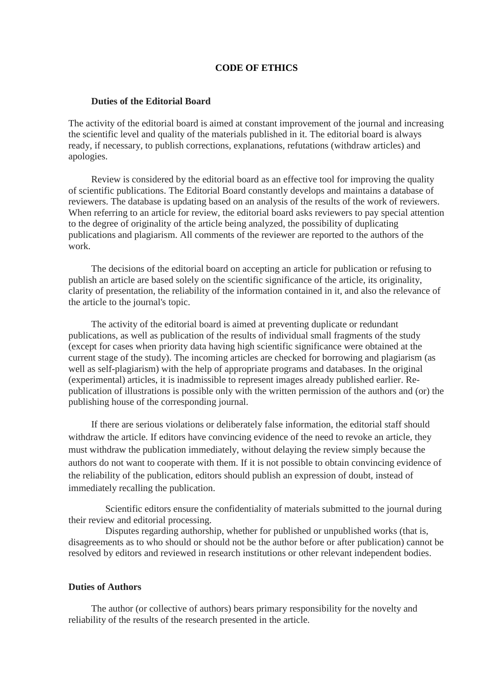## **CODE OF ETHICS**

## **Duties of the Editorial Board**

The activity of the editorial board is aimed at constant improvement of the journal and increasing the scientific level and quality of the materials published in it. The editorial board is always ready, if necessary, to publish corrections, explanations, refutations (withdraw articles) and apologies.

Review is considered by the editorial board as an effective tool for improving the quality of scientific publications. The Editorial Board constantly develops and maintains a database of reviewers. The database is updating based on an analysis of the results of the work of reviewers. When referring to an article for review, the editorial board asks reviewers to pay special attention to the degree of originality of the article being analyzed, the possibility of duplicating publications and plagiarism. All comments of the reviewer are reported to the authors of the work.

The decisions of the editorial board on accepting an article for publication or refusing to publish an article are based solely on the scientific significance of the article, its originality, clarity of presentation, the reliability of the information contained in it, and also the relevance of the article to the journal's topic.

The activity of the editorial board is aimed at preventing duplicate or redundant publications, as well as publication of the results of individual small fragments of the study (except for cases when priority data having high scientific significance were obtained at the current stage of the study). The incoming articles are checked for borrowing and plagiarism (as well as self-plagiarism) with the help of appropriate programs and databases. In the original (experimental) articles, it is inadmissible to represent images already published earlier. Republication of illustrations is possible only with the written permission of the authors and (or) the publishing house of the corresponding journal.

If there are serious violations or deliberately false information, the editorial staff should withdraw the article. If editors have convincing evidence of the need to revoke an article, they must withdraw the publication immediately, without delaying the review simply because the authors do not want to cooperate with them. If it is not possible to obtain convincing evidence of the reliability of the publication, editors should publish an expression of doubt, instead of immediately recalling the publication.

Scientific editors ensure the confidentiality of materials submitted to the journal during their review and editorial processing.

Disputes regarding authorship, whether for published or unpublished works (that is, disagreements as to who should or should not be the author before or after publication) cannot be resolved by editors and reviewed in research institutions or other relevant independent bodies.

## **Duties of Authors**

The author (or collective of authors) bears primary responsibility for the novelty and reliability of the results of the research presented in the article.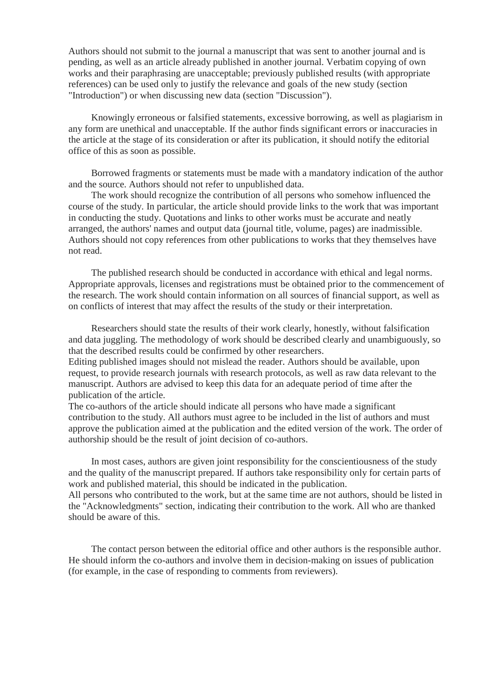Authors should not submit to the journal a manuscript that was sent to another journal and is pending, as well as an article already published in another journal. Verbatim copying of own works and their paraphrasing are unacceptable; previously published results (with appropriate references) can be used only to justify the relevance and goals of the new study (section "Introduction") or when discussing new data (section "Discussion").

Knowingly erroneous or falsified statements, excessive borrowing, as well as plagiarism in any form are unethical and unacceptable. If the author finds significant errors or inaccuracies in the article at the stage of its consideration or after its publication, it should notify the editorial office of this as soon as possible.

Borrowed fragments or statements must be made with a mandatory indication of the author and the source. Authors should not refer to unpublished data.

The work should recognize the contribution of all persons who somehow influenced the course of the study. In particular, the article should provide links to the work that was important in conducting the study. Quotations and links to other works must be accurate and neatly arranged, the authors' names and output data (journal title, volume, pages) are inadmissible. Authors should not copy references from other publications to works that they themselves have not read.

The published research should be conducted in accordance with ethical and legal norms. Appropriate approvals, licenses and registrations must be obtained prior to the commencement of the research. The work should contain information on all sources of financial support, as well as on conflicts of interest that may affect the results of the study or their interpretation.

Researchers should state the results of their work clearly, honestly, without falsification and data juggling. The methodology of work should be described clearly and unambiguously, so that the described results could be confirmed by other researchers.

Editing published images should not mislead the reader. Authors should be available, upon request, to provide research journals with research protocols, as well as raw data relevant to the manuscript. Authors are advised to keep this data for an adequate period of time after the publication of the article.

The co-authors of the article should indicate all persons who have made a significant contribution to the study. All authors must agree to be included in the list of authors and must approve the publication aimed at the publication and the edited version of the work. The order of authorship should be the result of joint decision of co-authors.

In most cases, authors are given joint responsibility for the conscientiousness of the study and the quality of the manuscript prepared. If authors take responsibility only for certain parts of work and published material, this should be indicated in the publication.

All persons who contributed to the work, but at the same time are not authors, should be listed in the "Acknowledgments" section, indicating their contribution to the work. All who are thanked should be aware of this.

The contact person between the editorial office and other authors is the responsible author. He should inform the co-authors and involve them in decision-making on issues of publication (for example, in the case of responding to comments from reviewers).